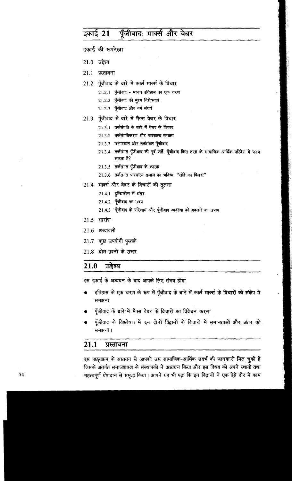### पूँजीवाद: मार्क्स और वेबर इकाई 21

इकाई की रूपरेखा

- $21.0$  उद्देश्य
- २१.१ प्रस्तावना
- 21.2 पूँजीवाद के बारे में कार्ल मार्क्स के विचार
	- 21.2.1 पुँजीवाद मानव इतिहास का एक चरण
	- 21.2.2 पूँजीवाद की मुख्य विशेषताएं
	- 21.2.3 पूँजीवाद और वर्ग संघर्ष
- 21.3 पूँजीवाद के बारे में मैक्स वेबर के विचार
	- 21.3.1 तर्कसंगति के बारे में वेबर के विचार
	- 21.3.2 तर्कसंगतिकरण और पाश्चात्य सभ्यता
	- 21.3.3 परंपरागत और तर्कसंगत पुँजीवाद
	- 21.3.4 तर्कसंगत पूँजीवाद की पूर्व-शर्तें: पूँजीवाद किस तरह के सामाजिक आर्थिक परिवेश में पनप सकता है?
	- 21.3.5 तर्कसंगत पूँजीवाद के कारक
	- 21.3.6 तर्कसंगत पाश्चात्य समाज का भविष्य: "लोहे का पिंजरा"
- 21.4 मार्क्स और वेबर के विचारों की तुलना
	- 21.4.1 दृष्टिकोण में अंतर
	- 21.4.2 पूँजीवाद का उदय
	- 21.4.3 पूँजीवाद के परिणाम और पूँजीवाद व्यवस्था को बदलने का उपाय
- 21.5 सारांश
- $21.6$  शब्दावली
- 21.7 कुछ उपयोगी पुस्तकें
- 21.8 बोध प्रश्नों के उत्तर

#### 21.0 उद्देश्य

इस इकाई के अध्ययन के बाद आपके लिए संभव होगा

- इतिहास के एक चरण के रूप में पूँजीवाद के बारे में कार्ल मार्क्स के विचारों को संक्षेप में समझना
- पूँजीवाद के बारे में मैक्स वेबर के विचारों का विवेचन करना
- पूँजीवाद के विश्लेषण में इन दोनों विद्वानों के विचारों में समानताओं और अंतर को समझना।

#### $21.1$ प्रस्तावना

इस पाठ्यक्रम के अध्ययन से आपको उस सामाजिक-आर्थिक संदर्भ की जानकारी मिल चुकी है जिसके अंतर्गत समाजशास्त्र के संस्थापकों ने अध्ययन किया और इस विषय को अपने स्थायी तथा महत्वपूर्ण योगदान से समृद्ध किया। आपने यह भी पढ़ा कि इन विद्वानों ने एक ऐसे दौर में काम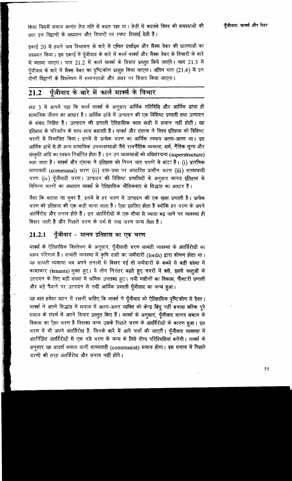किया जिसमें समाज अत्यंत तेज गति से बदल रहा था। तेजी से बदलते विश्व की समस्याओं की छाप इन विद्वानों के अध्ययन और विचारों पर स्पष्ट दिखाई देती है।

इकाई 20 में हमने श्रम विभाजन के बारे में एमिल दर्खाइम और मैक्स वेबर की धारणाओं का अध्ययन किया। इस इकाई में पूँजीवाद के बारे में कार्ल मार्क्स और मैक्स वेबर के विचारों के बारे में बताया जाएगा। भाग 21.2 में कार्ल मार्क्स के विचार प्रस्तुत किये जाएंगे। भाग 21.3 में पूँजीवाद के बारे में मैक्स वेबर का दृष्टिकोण प्रस्तुत किया जाएगा। अंतिम भाग (21.4) में इन .<br>दोनों विद्वानों के विश्लेषण में समानताओं और अंतर पर विचार किया जाएगा।

### पूँजीवाद के बारे में कार्ल मार्क्स के विचार 21.2

खंड 3 में आपने पढ़ा कि कार्ल मार्क्स के अनुसार आर्थिक गतिविधि और आर्थिक ढांचा ही सामाजिक जीवन का आधार है। आर्थिक ढांचे में उत्पादन की एक विशिष्ट प्रणाली तथा उत्पादन के संबंध निहित है। उत्पादन की प्रणाली ऐतिहासिक काल खंडों में समान नहीं होती। यह इतिहास के परिवर्तन के साथ-साथ बदलती है। मार्क्स और एंगल्स ने विश्व इतिहास को विशिष्ट चरणों में विभाजित किया। इनमें से प्रत्येक चरण का आर्थिक स्वरूप अलग-अलग था। इस आर्थिक ढांचे से ही अन्य सामाजिक उपव्यवस्थाओं जैसे राजनैतिक व्यवस्था, धर्म, नैतिक मूल्य और संस्कृति आदि का स्वरूप निर्धारित होता है। इन उप व्यवस्थाओं को अधिसंरचना (superstructure) कहा जाता है। मार्क्स और एंगल्स ने इतिहास को निम्न चार चरणों में बांटा है। (i) प्रारंभिक साम्यवादी (communal) चरण (ii) दास-प्रथा पर आधारित प्राचीन चरण (iii) सामंतवादी चरण (iv) पूँजीवादी चरण। उत्पादन की विशिष्ट प्रणालियों के अनुसार मानव इतिहास के विभिन्न चरणों का अध्ययन मार्क्स के ऐतिहासिक भौतिकवाद के सिद्धांत का आधार है।

जैसा कि बताया जा चुका है, इनमें से हर चरण में उत्पादन की एक ख़ास प्रणाली है। प्रत्येक चरण को इतिहास की एक कड़ी माना जाता है। ऐसा इसलिए होता है क्योंकि हर चरण के अपने अंतर्विरोध और तनाव होते हैं। इन अंतर्विरोधों के एक सीमा से ज्यादा बढ़ जाने पर व्यवस्था ही बिखर जाती है और पिछले चरण के गर्भ से नया चरण जन्म लेता है।

### पूँजीवाद - मानव इतिहास का एक चरण 21.2.1

मार्क्स के ऐतिहासिक विश्लेषण के अनुसार, पूँजीवादी चरण सामंती व्यवस्था के अंतर्विरोधों का सहज परिणाम है। सामंती व्यवस्था में कृषि दासों का ज़मीदारों (lords) द्वारा शोषण होता था। यह सामती व्यवस्था जब अपने तनावों से बिखर गई तो ज़मीदारों के कब्ज़े से बड़ी संख्या में काश्तकार (tenants) मुक्त हुए। ये लोग निरंतर बढ़ते हुए नगरों में बसे, इससे वस्तुओं के उत्पादन के लिए बड़ी संख्या में श्रमिक उपलब्ध हुए। नयी मशीनों का विकास, फैक्टरी प्रणाली और बड़े पैमाने पर उत्पादन से नयी आर्थिक प्रणाली पूँजीवाद का जन्म हुआ।

यह बात हमेशा ध्यान में रखनी चाहिए कि मार्क्स ने पूँजीवाद को ऐतिहासिक दृष्टिकोण से देखा। मार्क्स ने अपने सिद्धांत में समाज में अलग-अलग व्यक्ति को केन्द्र बिंदू नहीं बनाया बल्कि पूरे समाज के संदर्भ में अपने विचार प्रस्तुत किए हैं। मार्क्स के अनुसार, पूँजीवाद मानव समाज के विकास का ऐसा चरण है जिसका जन्म उसके पिछले चरण के अंतर्विरोधों के कारण हुआ। इस चरण में भी अपने अंतर्विरोध है, जिनके बारे में आगे चर्चा की जाएगी। पूँजीवाद व्यवस्था में अंतर्निहित अंतर्विरोधों से एक नये चरण के जन्म के लिये योग्य परिस्थितियां बनेंगी। मार्क्स के अनूसार यह आदर्श समाज यानी साम्यवादी (communist) समाज होगा। इस समाज में पिछले चरणों की तरह अंतर्विरोध और तनाव नहीं होंगे।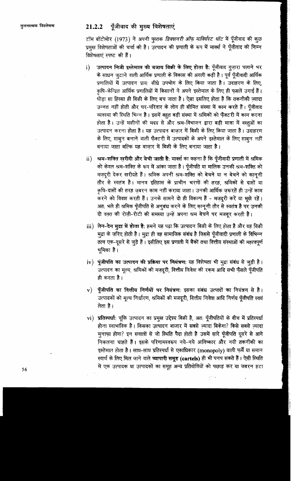## 21.2.2 पूँजीवाद की मुख्य विशेषताएं

टॉम बॉटोमोर (1973) ने अपनी पुस्तक *डिक्शनरी ऑफ़ माक्सिस्ट थॉट* में पूँजीवाद की कुछ प्रमुख विशेषताओं की चर्चा की है। उत्पादन की प्रणाली के रूप में मार्क्स ने पूँजीवाद की निम्न विशेषताएं स्पष्ट की हैं।

- उत्पादन निजी इस्तेमाल की बजाय बिक्री के लिए होता है: पूँजीवाद गुज़ारा चलाने भर  $i)$ के साधन जुटाने वाली आर्थिक प्रणाली के विकास की अगली कड़ी है। पूर्व पूँजीवादी आर्थिक प्रणालियों में उत्पादन प्राय: सीधे उपभोग के लिए किया जाता है। उदाहरण के लिए, कृषि-केन्द्रित आर्थिक प्रणालियों में किसानों ने अपने इस्तेमाल के लिए ही फसलें उगाई हैं। थोड़ा सा हिस्सा ही बिक्री के लिए बच जाता है। ऐसा इसलिए होता है कि तकनीकी ज़्यादा उन्नत नहीं होती और घर-परिवार के लोग ही सीमित संख्या में काम करते हैं। पूँजीवाद व्यवस्था की स्थिति भिन्न है। इसमें बहुत बड़ी संख्या में श्रमिकों को फैक्टरी में काम करना होता है। उन्हें मशीनों की मदद से और श्रम-विभाजन द्वारा बड़ी मात्रा में वस्तुओं का उत्पादन करना होता है। यह उत्पादन बाजार में बिक्री के लिए किया जाता है। उदाहरण के लिए, साबून बनाने वाली फ़ैक्टरी में उत्पादकों के अपने इस्तेमाल के लिए साबून नहीं बनाया जाता बल्कि यह बाजार में बिक्री के लिए बनाया जाता है।
- $\mathbf{ii}$ ) श्रम-शक्ति खरीदी और बेची जाती है: मार्क्स का कहना है कि पूँजीवादी प्रणाली में श्रमिक को केवल श्रम-शक्ति के रूप में आंका जाता है। पूँजीपति या मालिक उनकी श्रम-शक्ति को मज़दूरी देकर खरीदते हैं। श्रमिक अपनी श्रम-शक्ति को बेचने या न बेचने को कानूनी तौर से स्वतंत्र है। मानव इतिहास के प्राचीन चरणों की तरह, श्रमिकों से दासों या कृषि-दासों की तरह ज़बरन काम नहीं कराया जाता। उनकी आर्थिक ज़रूरतें ही उन्हें काम करने को विवश करती हैं। उनके सामने दो ही विकल्प हैं - मज़दूरी करें या भूखे रहें। अत: भले ही श्रमिक पूँजीपति से अनुबंध करने के लिए कानूनी तौर से स्वतंत्र है पर उनकी दो वक्त की रोज़ी-रोटी की समस्या उन्हें अपना श्रम बेचने पर मजबूर करती है।
- iii) लेन-देन मुद्रा में होता है: हमने यह पढ़ा कि उत्पादन बिक्री के लिए होता है और यह बिक्री मुद्रा के ज़रिए होती है। मुद्रा ही वह सामाजिक संबंध है जिससे पूँजीवादी प्रणाली के विभिन्न तत्व एक-दूसरे से जुड़े हैं। इसीलिए इस प्रणाली में बैंकों तथा वित्तीय संस्थाओं की महत्वपूर्ण भूमिका है।
- iv) पूंजीपति का उत्पादन की प्रक्रिया पर नियंत्रण: यह विशेषता भी मुद्रा संबंध से जूड़ी है। उत्पादन का मूल्य, श्रमिकों की मज़दूरी, वित्तीय निवेश की रकम आदि सभी फैसले पूँजीपति ही करता है।
- पूँजीपति का वित्तीय निर्णयों पर नियंत्रण: इसका संबंध उत्पादों का नियंत्रण से है।  $\mathbf{v})$ उत्पादकों को मूल्य निर्धारण, श्रमिकों की मजदूरी, वित्तीय निवेश आदि निर्णय पूँजीपति स्वयं लेता है ।
- vi) प्रतिस्पर्धाः चूंकि उत्पादन का प्रमूख उद्देश्य बिक्री है, अत: पूँजीपतियों के बीच में प्रतिस्पर्धा होना स्वाभाविक है। किसका उत्पादन बाजार में सबसे ज़्यादा बिकेगा? किसे सबसे ज़्यादा मुनाफा होगा? इन सवालों से जो स्थिति पैदा होती है उसमें सारे पूँजीपति दूसरे से आगे निकलना चाहते हैं। इसके परिणामस्वरूप नये-नये आविष्कार और नयी तकनीकी का इस्तेमाल होता है। साथ-साथ प्रतिस्पर्धा से एकाधिकार (monopoly) वाली फर्में या समान स्वार्थ के लिए मिल जाने वाले व्यापारी समूह (cartels) ही भी पनप सकते हैं। ऐसी स्थिति में एक उत्पादक या उत्पादकों का समूह अन्य प्रतियोगियों को पछाड़ कर या जबरन हटा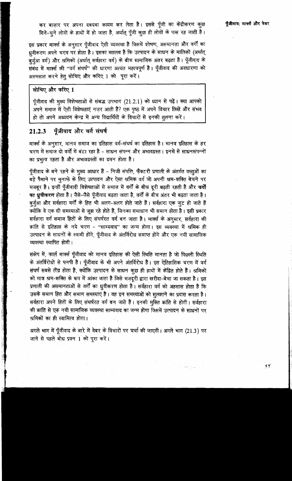कर बाज़ार पर अपना दबदबा कायम कर लेता है। इससे पूँजी का केंद्रीकरण कुछ गिने-चुने लोगों के हाथों में हो जाता है, अर्थात् पूँजी कुछ ही लोगों के पास रह जाती है।

इस प्रकार मार्क्स के अनुसार पूँजीवाद ऐसी व्यवस्था है जिसमें शोषण, असमानता और वर्गों का ध्रवीकरण अपने चरम पर होता है। इसका मतलब है कि उत्पादन के साधन के मालिकों (अर्थात् बर्जुआ वर्ग) और श्रमिकों (अर्थात् सर्वहारा वर्ग) के बीच सामाजिक अंतर बढ़ता है। पूँजीवाद के संबंध में मार्क्स की "वर्ग संघर्ष" की धारणा अत्यंत महत्वपूर्ण है। पूँजीवाद की अवधारणा को आत्मसात करने हेतू सोचिए और करिए 1 को पूरा करें।

### सोचिए और करिए 1

पूँजीवाद की मुख्य विशेषताओं से संबद्ध उपभाग (21.2.1) को ध्यान से पढ़ें। क्या आपको अपने समाज में ऐसी विशेषताएं नज़र आती हैं? एक पृष्ठ में अपने विचार लिखें और संभव हो तो अपने अध्ययन केन्द्र में अन्य विद्यार्थियों के विचारों से इनकी तूलना करें।

#### पुँजीवाद और वर्ग संघर्ष 21.2.3

मार्क्स के अनुसार, मानव समाज का इतिहास वर्ग-संघर्ष का इतिहास है। मानव इतिहास के हर चरण में समाज दो वर्गों में बंटा रहा है - साधन संपन्न और अभावग्रस्त । इनमें से साधनसंपन्नों का प्रभुत्व रहता है और अभावग्रस्तों का दमन होता है।

पूँजीवाद के बने रहने के मुख्य आधार हैं - निजी संपत्ति, फैक्टरी प्रणाली के अंतर्गत वस्तुओं का बड़े पैमाने पर मुनाफे के लिए उत्पादन और ऐसा श्रमिक वर्ग जो अपनी श्रम-शक्ति बेचने पर मजबुर है। इन्हीं पूँजीवादी विशेषताओं से समाज में वर्गों के बीच दूरी बढती रहती है और वर्गों का ध्रुवीकरण होता है। जैसे-जैसे पूँजीवाद बढ़ता जाता है, वर्गों के बीच अंतर भी बढ़ता जाता है। बूर्जूआ और सर्वहारा वर्गों के हित भी अलग-अलग होते जाते हैं। सर्वहारा एक जूट हो जाते हैं क्योंकि वे एक सी समस्याओं से जूझ रहे होते हैं, जिनका समाधान भी समान होता है। इसी प्रकार सर्वहारा वर्ग समाज हितों के लिए संघर्षरत वर्ग बन जाता है। मार्क्स के अनुसार, सर्वहारा की क्रांति से इतिहास के नये चरण - "साम्यवाद" का जन्म होगा। इस व्यवस्था में श्रमिक ही उत्पादन के साधनों के स्वामी होंगे, पूँजीवाद के अंतर्विरोध समाप्त होंगे और एक नयी सामाजिक व्यवस्था स्थापित होगी।

संक्षेप में, कार्ल मार्क्स पूँजीवाद को मानव इतिहास की ऐसी स्थिति मानता है जो पिछली स्थिति के अंतर्विरोधों से पनपी है। पूँजीवाद के भी अपने अंतर्विरोध हैं। इस ऐतिहासिक चरण में वर्ग संघर्ष सबसे तीव्र होता है, क्योंकि उत्पादन के साधन कुछ ही हाथों में केंद्रित होते हैं। श्रमिकों को मात्र श्रम-शक्ति के रूप में आंका जाता है जिसे मजदूरी द्वारा खरीदा-बेचा जा सकता है। इस प्रणाली की असमानताओं से वर्गों का ध्रुवीकरण होता है। सर्वहारा वर्ग को अहसास होता है कि उसके समान हित और समान समस्याएं है। वह इन समस्याओं को सुलझाने का प्रयास करता है। सर्वहारा अपने हितों के लिए संघर्षरत वर्ग बन जाते हैं। इनकी मुक्ति क्रांति से होगी। सर्वहारा की क्रांति से एक नयी सामाजिक व्यवस्था साम्यवाद का जन्म होगा जिसमें उत्पादन के साधनों पर श्रमिकों का ही स्वामित्व होगा।

अगले भाग में पूँजीवाद के बारे में वेबर के विचारों पर चर्चा की जाएगी। अगले भाग (21.3) पर जाने से पहले बोध प्रश्न 1 को पूरा करें।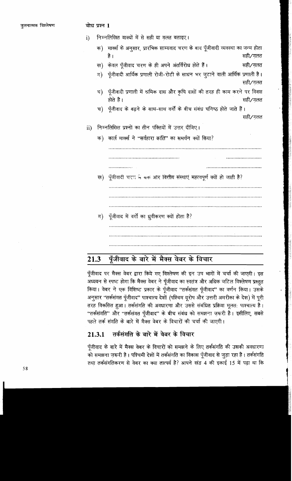निम्नलिखित वाक्यों में से सही या गलत बताइए।  $i)$ 

> क) मार्क्स के अनुसार, प्रारंभिक साम्यवाद चरण के बाद पूँजीवादी व्यवस्था का जन्म होता सही∕गलत है ।

> ख) केवल पूँजीवाद चरण के ही अपने अंतर्विरोध होते हैं। सही∕ग़लत

|  |  |  | ग) पूँजीवादी आर्थिक प्रणाली रोजी-रोटी के साधन भर जुटाने वाली आर्थिक प्रणाली है। |         |  |
|--|--|--|---------------------------------------------------------------------------------|---------|--|
|  |  |  |                                                                                 | सही⁄गलत |  |

- ध) पूँजीवादी प्रणाली में श्रमिक दास और कृषि दासों की तरह ही काम करने पर विवश होते है । सही∕गलत
- च) पूँजीवाद के बढ़ने के साथ-साथ वर्गों के बीच संबंध घनिष्ठ होते जाते हैं। सही⁄ग़लत

#### निम्नलिखित प्रश्नों का तीन पंक्तियों में उत्तर दीजिए।  $\mathbf{ii}$

क) कार्ल मार्क्स ने "सर्वहारा क्रांति" का समर्थन क्यों किया? . . . . . . . . . . . . . . . . . पूँजीवादी चरण ने बक आर वित्तीय संस्थाएं महत्वपूर्ण क्यों हो जाती है? ख) पूँजीवाद में वर्गों का ध्रुवीकरण क्यों होता है? ग)

### पूँजीवाद के बारे में मैक्स वेबर के विचार 21.3

पूँजीवाद पर मैक्स वेबर द्वारा किये गए विश्लेषण की इन उप भागों में चर्चा की जाएगी। इस अध्ययन से स्पष्ट होगा कि मैक्स वेबर ने पूँजीवाद का स्वतंत्र और अधिक जटिल विश्लेषण प्रस्तुत किया। वेबर ने एक विशिष्ट प्रकार के पूँजीवाद "तर्कसंगत पूँजीवाद" का वर्णन किया। उसके अनुसार "तर्कसंगत पूँजीवाद" पाश्चात्य देशों (पश्चिम यूरोप और उत्तरी अमरीका के देश) में पूरी तरह विकसित हुआ। तर्कसंगति की अवधारणा और उससे संबंधित प्रक्रिया मूलत: पाश्चात्य है। "तर्कसंगति" और "तर्कसंगत पूँजीवाद" के बीच संबंध को समझना ज़रूरी है। इसीलिए, सबसे पहले तर्क संगति के बारे में मैक्स वेबर के विचारों की चर्चा की जाएगी।

### तर्कसंगति के बारे में वेबर के विचार 21.3.1

पूँजीवाद के बारे में मैक्स वेबर के विचारों को समझने के लिए तर्कसंगति की उसकी अवधारणा को समझना ज़रूरी है। पश्चिमी देशों में तर्कसंगति का विकास पूँजीवाद से जुड़ा रहा है। तर्कसंगति तथा तर्कसंगतिकरण से वेबर का क्या तात्पर्य है? आपने खंड 4 की इकाई 15 में पढ़ा था कि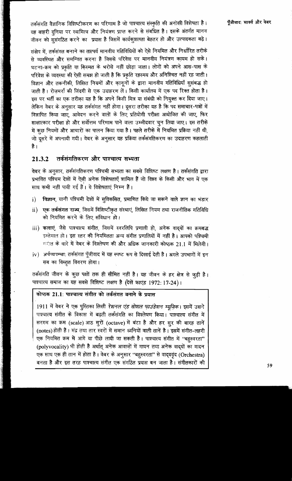तर्कसंगति वैज्ञानिक विशिष्टीकरण का परिणाम है जो पाश्चात्य संस्कृति की अनोखी विशेषता है। यह बाहरी दुनिया पर स्वामित्व और नियंत्रण प्राप्त करने से संबंधित है। इसके अंतर्गत मानव जीवन को सूसंगठित करने का प्रयास है जिसमें कार्यकुशलता बेहतर हो और उत्पादकता बढ़े।

संक्षेप में, तर्कसंगत बनाने का तात्पर्य मानवीय गतिविधियों को ऐसे नियमित और निर्धारित तरीके से व्यवस्थित और समन्वित करना है जिससे परिवेश पर मानवीय नियंत्रण कायम हो सके। घटना-क्रम को प्रकृति या किस्मत के भरोसे नहीं छोड़ा जाता। लोगों को अपने आस-पास के परिवेश के व्यवस्था की ऐसी समझ हो जाती है कि प्रकृति रहस्मय और अनिश्चित नहीं रह जाती। विज्ञान और तकनीकी, लिखित नियमों और कानूनों के द्वारा मानवीय गतिविधियाँ सुसंबद्ध हो जाती हैं। रोजमर्रा की जिंदगी से एक उदाहरण लें। किसी कार्यालय में एक पद रिक्त होता है। इस पर भर्ती का एक तरीका यह है कि अपने किसी मित्र या संबंधी को नियुक्त कर दिया जाए। लेकिन वेबर के अनुसार यह तर्कसंगत नहीं होगा। दूसरा तरीका यह है कि पद समाचार-पत्रों में विज्ञापित किया जाए, आवेदन करने वालों के लिए प्रतियोगी परीक्षा आयोजित की जाए, फिर साक्षात्कार परीक्षा हो और सर्वोत्तम परिणाम पाने वाला उम्मीदवार चुन लिया जाए। इस तरीके में कुछ नियमों और आचारों का पालन किया गया है। पहले तरीके में नियमित प्रक्रिया नहीं थी, जो दूसरे में अपनायी गयी। वेबर के अनुसार यह प्रक्रिया तर्कसंगतिकरण का उदाहरण कहलाती है ।

#### तर्कसंगतिकरण और पाश्चात्य सभ्यता 21.3.2

वेबर के अनुसार, तर्कसंगतिकरण पश्चिमी सभ्यता का सबसे विशिष्ट लक्षण है। तर्कसंगति द्वारा प्रभावित पश्चिम देशों में ऐसी अनेक विशेषताएँ शामिल हैं जो विश्व के किसी और भाग में एक साथ कभी नहीं पायी गई हैं। ये विशेषताएं निम्न हैं।

- विज्ञान, यानी पश्चिमी देशों में सुविकसित, प्रमाणित किये जा सकने वाले ज्ञान का भंडार  $\mathbf{i}$
- ii) एक तर्कसंगत राज्य, जिसमें विशिष्टीकृत संस्थाएं, लिखित नियम तथा राजनीतिक गतिविधि को नियमित करने के लिए संविधान हो।
- iii) कलाएं, जैसे पाश्चात्य संगीत, जिसमें स्वरलिपि प्रणाली हो, अनेक वाद्यों का क्रमबद्ध इस्तेमाल हो। इस स्तर की नियमितता अन्य संगीत प्रणालियों में नहीं है। आपको पश्चिमी मंगीत के बारे में वेबर के विश्लेषण की और अधिक जानकारी कोष्ठक 21.1 में मिलेगी।
- iv) अर्थव्यवस्था: तर्कसंगत पूँजीवाद में यह स्पष्ट रूप से दिखाई देती है। अगले उपभागों में इन सब का विस्तृत विवरण होगा।

तर्कसंगति जीवन के कुछ पक्षों तक ही सीमित नहीं है। यह जीवन के हर क्षेत्र से जुड़ी है।<br>पाश्चात्य समाज का यह सबसे विशिष्ट लक्षण है (देखें फ्राएंड 1972: 17-24)।<br>कोष्ठक 21.1: पाश्चात्य संगीत को तर्कसंगत बनाने के प्रयास

1911 में वेबर ने एक पुस्तिका लिखी *रेशनल एंड सोशल फाउंडेशन म्यूज़िक*। इसमें उसने पाश्चात्य संगीत के विकास में बढ़ती तर्कसंगति का विश्लेषण किया। पाश्चात्य संगीत में सरगम का क्रम (scale) आठ सूरों (octave) में बंटा है और हर सुर की बारह तानें (notes) होती हैं। मंद्र तथा तार स्वरों में समान ध्वनियों वाली तानें है। इसमें संगीत-लहरी एक नियमित क्रम में आगे या पीछे लायी जा सकती है। पाश्चात्य संगीत में "बहस्वरता" (polyvocality) भी होती है अर्थात् अनेक आवाज़ों में गायन तथा अनेक वाद्यों का वादन  $\overline{\mathbf{v}}$ क साथ एक ही तान में होता है। वेबर के अनुसार ''बहुस्वरता'' से वाद्यवृंद (Orchestra) बनता है और इस तरह पाश्चात्य संगीत एक संगठित प्रयास बन जाता है। संगीतकारों की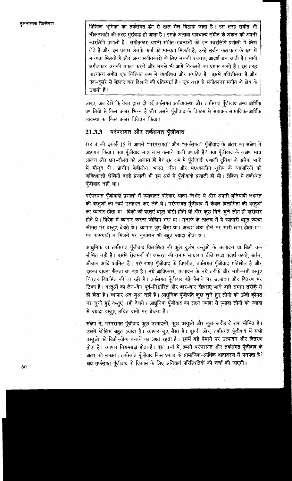तलनात्मक विश्लेषण

विशिष्ट भूमिका का तर्कसंगत ढंग से ताल मेल बिठाया जाता है। इस तरह संगीत भी नौकरशाही की तरह सुसंबद्ध हो जाता है। इसके अलावा पाश्चात्य संगीत के अंकन की अपनी स्वरलिपि प्रणाली है। संगीतकार अपनी संगीत-रचनाओं को इन स्वरलिपि प्रणाली में लिख लेते हैं और इस प्रकार उनके कार्य को मान्यता मिलती है, उन्हें सर्जन कलाकार के रूप में मान्यता मिलती है और अन्य संगीतकारों के लिए उनकी रचनाएं आदर्श बन जाती हैं। भावी संगीतकार उनकी नकल करने और उनसे भी आगे निकलने का प्रयास करते हैं। इस तरह पाश्चात्य संगीत एक निषिचत क्रम में व्यवस्थित और संगठित है। इसमें गतिशीलता है और एक-दूसरे से बेहतर कर दिखाने की प्रतिस्पर्धा है। एक तरह से संगीतकार संगीत के क्षेत्र के उद्यमी हैं।

आइए, अब देखें कि वेबर द्वारा दी गई तर्कसंगत अर्थव्यवस्था और तर्कसंगत पूँजीवाद अन्य आर्थिक प्रणालियों से किस प्रकार भिन्न हैं और उसने पूँजीवाद के विकास में सहायक सामाजिक-आर्थिक व्यवस्था का किस प्रकार विवेचन किया।

### परंपरागत और तर्कसंगत पूँजीवाद 21.3.3

खंड 4 की इकाई 15 में आपने "परंपरागत" और "तर्कसंगत" पूँजीवाद के अंतर का संक्षेप में अध्ययन किया। क्या पूँजीवाद मात्र लाभ कमाने वाली प्रणाली है? क्या पूँजीवाद के लक्षण मात्र लालच और धन-दौलत की लालसा ही है? इस रूप में पुँजीवादी प्रणाली दुनिया के अनेक भागों में मौजूद थी। प्राचीन बेबीलोन, भारत, चीन और मध्यकालीन यूरोप के व्यापारियों की शक्तिशाली श्रेणियों वाली प्रणाली भी इस अर्थ में पूँजीवादी प्रणाली ही थी। लेकिन ये तर्कसंगत पूँजीवाद नहीं था।

परंपरागत पूँजीवादी प्रणाली में ज़्यादातर परिवार आत्म-निर्भर थे और अपनी बुनियादी ज़रूरत की वस्तुओं का स्वयं उत्पादन कर लेते थे। परंपरागत पूँजीवाद में केवल विलासिता की वस्तुओं का व्यापार होता था। बिक्री की वस्तूएं बहुत थोड़ी होती थीं और कुछ गिने-चूने लोग ही ख़रीदार होते थे। विदेश में व्यापार करना जोखिम भरा था। मुनाफे के लालच में ये व्यापारी बहुत ज्यादा कीमत पर वस्तूएं बेचते थे। व्यापार जूए जैसा था। अच्छा धंधा होने पर भारी लाभ होता था। पर कामयाबी न मिलने पर नुकसान भी बहुत ज्यादा होता था।

आधुनिक या तर्कसंगत पूँजीवाद विलासिता की कुछ दुर्लभ वस्तुओं के उत्पादन या बिक्री तक सीमित नहीं है। इसमें रोजमर्रा की ज़रूरत की तमाम साधारण चीजें खाद्य पदार्थ कपड़े, बर्तन, औज़ार आदि शामिल हैं। परंपरागत पूँजीवाद के विपरीत, तर्कसंगत पूँजीवाद गतिशील है और इसका दायरा फैलता जा रहा है। नये आविष्कार, उत्पादन के नये तरीके और नयी-नयी वस्तूए निरंतर विकसित की जा रही हैं। तर्कसंगत पूँजीवाद बड़े पैमाने पर उत्पादन और वितरण पर टिका है। वस्तुओं का लेन-देन पूर्व-निर्धारित और बार-बार दोहराए जाने वाले समान तरीके से ही होता है। व्यापार अब जुआ नहीं है। आधुनिक पूँजीपति कुछ चुने हुए लोगों को ऊँची कीमत पर चुनी हुई वस्तूएं नहीं बेचते। आधुनिक पूँजीवाद का लक्ष्य ज़्यादा से ज़्यादा लोगों को ज़्यादा से ज़्यादा वस्तूएं उचित दामों पर बेचना है।

संक्षेप में, परंपरागत पूँजीवाद कुछ उत्पादकों, कुछ वस्तुओं और कुछ खरीदारों तक सीमित है। उसमें जीखिम बहुत ज्यादा है। व्यापार जुए जैसा है। दूसरी ओर, तर्कसंगत पूँजीवाद में सभी वस्तुओं को बिक्री-योग्य बनाने का लक्ष्य रहता है। इसमें बड़े पैमाने पर उत्पादन और वितरण होता है। व्यापार नियमबद्ध होता है। इस चर्चा में, हमने परंपरागत और तर्कसगत पूँजीवाद के अंतर को समझा। तर्कसंगत पूँजीवाद किस प्रकार के सामाजिक-आर्थिक वातावरण में पनपता है? अब तर्कसंगत पूँजीवाद के विकास के लिए अनिवार्य परिस्थितियों की चर्चा की जाएगी।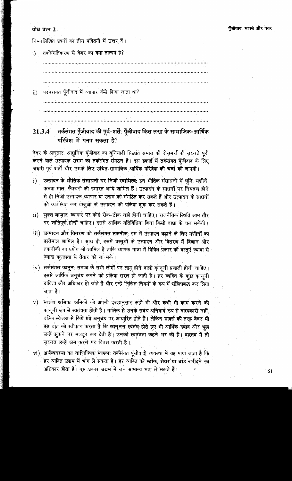बोध प्रश्न 2

निम्नलिखित प्रश्नों का तीन पंक्तियों में उत्तर दें।

तर्कसंगतिकरण से वेबर का क्या तात्पर्य है?  $i)$ 

ं परंपरागत पूँजीवाद में व्यापार कैसे किया जाता था?  $\mathbf{ii}$ 

तर्कसंगत पूँजीवाद की पूर्व-शर्ते: पूँजीवाद किस तरह के सामाजिक-आर्थिक  $21.3.4$ परिवेश में पनप सकता है?

वेबर के अनुसार, आधुनिक पूँजीवाद का बुनियादी सिद्धांत समाज की रोज़मर्रा की ज़रूरतें पूरी करने वाले उत्पादक उद्यम का तर्कसंगत संगठन है। इस इकाई में तर्कसंगत पूँजीवाद के लिए जरूरी पूर्व-शर्तों और उसके लिए उचित सामाजिक-आर्थिक परिवेश की चर्चा की जाएगी।

- उत्पादन के भौतिक संसाधनों पर निजी स्वामित्व: इन भौतिक संसाधनों में भूमि, मशीनें,  $\mathbf{i}$ कच्चा माल, फैक्टरी की इमारत आदि शामिल हैं। उत्पादन के साधनों पर नियंत्रण होने से ही निजी उत्पादक व्यापार या उद्यम को संगठित कर सकते हैं और उत्पादन के साधनों को व्यवस्थित कर वस्तुओं के उत्पादन की प्रक्रिया शुरू कर सकते हैं।
- ii) मुक्त बाज़ार: व्यापार पर कोई रोक-टोक नहीं होनी चाहिए। राजनैतिक स्थिति आम तौर पर शांतिपूर्ण होनी चाहिए। इससे आर्थिक गतिविधियां बिना किसी बाधा के चल सकेंगी।
- iii) उत्पादन और वितरण की तर्कसंगत तकनीक: इस में उत्पादन बढाने के लिए मशीनों का इस्तेमाल शामिल है। साथ ही, इसमें वस्तुओं के उत्पादन और वितरण में विज्ञान और तकनीकी का प्रयोग भी शामिल है ताकि व्यापक मात्रा में विविध प्रकार की वस्तएं ज्यादा से ज्यादा कुशलता से तैयार की जा सकें।
- iv) तर्कसंगत कानून: समाज के सभी लोगों पर लागू होने वाली कानूनी प्रणाली होनी चाहिए। इससे आर्थिक अनुबंध करने की प्रक्रिया सरल हो जाती है। हर व्यक्ति के कुछ कानुनी दायित्व और अधिकार हो जाते हैं और इन्हें लिखित नियमों के रूप में संहिताबद्ध कर लिया जाता है।
- स्वतंत्र श्रमिक: श्रमिकों को अपनी इच्छानुसार कहीं भी और कभी भी काम करने की  $\mathbf{v})$ कानूनी रूप से स्वतंत्रता होती है। मालिक से उनके संबंध अनिवार्य रूप से बाध्यकारी नहीं बल्कि स्वेच्छा से किये गये अनुबंध पर आधारित होते हैं। लेकिन मार्क्स की तरह वेबर भी इस बात को स्वीकार करता है कि कानूनन स्वतंत्र होते हुए भी आर्थिक दबाव और भूख उन्हें झूकने पर मजबूर कर देती है। उनकी स्वतंत्रता कहने भर की है। वास्तव में तो जरूरत उन्हें श्रम करने पर विवश करती है।
- vi) अर्थव्यवस्था का वाणिज्यिक स्वरूप: तर्कसंगत पूँजीवादी व्यवस्था में यह पाया जाता है कि हर व्यक्ति उद्यम में भाग ले सकता है। हर व्यक्ति को स्टॉक, शेयर या बांड खरीदने का अधिकार होता है। इस प्रकार उद्यम में जन सामान्य भाग ले सकते हैं।

61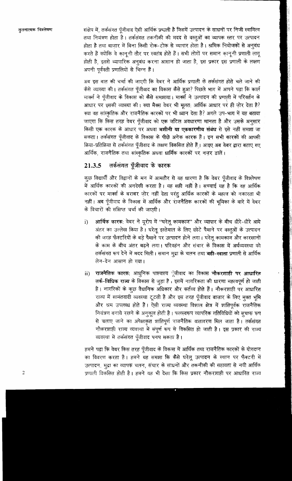संक्षेप में, तर्कसंगत पुँजीवाद ऐसी आर्थिक प्रण्यली है जिसमें उत्पादन के साधनों पर निजी स्वामित्व तथा नियंत्रण होता है। तर्कसंगत तकनीकी की मदद से वस्तुओं का व्यापक स्तर पर उत्पादन होता है तथा बाज़ार में बिना किसी रोक-टोक से व्यापार होता है। श्रमिक नियोजकों से अनुबंध करते हैं क्योंकि वे कानूनी तौर पर स्वतंत्र होते हैं। सभी लोगों पर समान कानूनी प्रणाली लागू होती है, इससे व्यापारिक अनूबंध करना आसान हो जाता है, इस प्रकार इस प्रणाली के लक्षण अपनी पुर्ववती प्रणालियों से भिन्न हैं।

अब इस बात की चर्चा की जाएगी कि वेबर ने आर्थिक प्रणाली के तर्कसंगत होते चले जाने की कैसे व्याख्या की। तर्कसंगत पूँजीवाद का विकास कैसे हुआ? पिछले भाग में आपने पढ़ा कि कार्ल मार्क्स ने पूँजीवाद के विकास को कैसे समझाया। मार्क्स ने उत्पादन की प्रणाली में परिवर्तन के आधार पर इसकी व्याख्या की। क्या मैक्स वेबर भी मूलत: आर्थिक आधार पर ही ज़ोर देता है? क्या वह सांस्कृतिक और राजनैतिक कारकों पर भी ध्यान देता है? अगले उप-भाग में यह बताया जाएगा कि किस तरह वेबर पूँजीवाद को एक जटिल अवधारणा मानता है और उसके अनुसार किसी एक कारक के आधार पर अथवा **मशीनी या एककारणीय संबंध** से इसे नहीं समझा जा सकता। तर्कसंगत पूँजीवाद के विकास के पीछे अनेक कारक हैं। इन सभी कारकों की आपसी क्रिया-प्रतिक्रिया से तर्कसंगत पूँजीवाद के लक्षण विकसित होते हैं। आइए अब वेबर द्वारा बताए गए आर्थिक, राजनैतिक तथा सांस्कृतिक अथवा धार्मिक कारकों पर नज़र डालें।

### तर्कसंगत पूँजीवाद के कारक 21.3.5

कुछ विद्यार्थी और विद्वानों के मन में आमतौर से यह धारणा है कि वेबर पूँजीवाद के विश्लेषण में आर्थिक कारकों की अनदेखी करता है। यह सही नहीं है। सच्चाई यह है कि वह आर्थिक कारकों पर मार्क्स के बराबर ज़ोर नहीं देता परंतु आर्थिक कारकों के महत्व को नकारता भी नहीं। अब पूँजीवाद के विकास में आर्थिक और राजनैतिक कारकों की भूमिका के बारे में वेबर के विचारों की संक्षिप्त चर्चा की जाएगी।

- आर्थिक कारक: वेबर ने यूरोप में ''घरेलू कामकाज'' और व्यापार के बीच धीरे-धीरे आये  $\mathbf{i}$ अंतर का उल्लेख किया है। घरेलू इस्तेमाल के लिए छोटे पैमाने पर वस्तुओं के उत्पादन की जगह फैक्टरियों के बड़े पैमाने पर उत्पादन होने लगा। घरेलू कामकाज और कारखानों के काम के बीच अंतर बढ़ने लगा। परिवहंन और संचार के विकास में अर्थव्यवस्था को तर्कसंगत रूप देने में मदद मिली। समान मुद्रा के चलन तथा बही-खाता प्रणाली से आर्थिक लेन-देन आसान हो गया।
- राजनैतिक कारक: आधुनिक पाश्चात्य पूँजीवाद का विकास नौकर<mark>शाही पर आधारित</mark> ii) तर्क-विधिक राज्य के विकास से जुड़ा है। इसमें नागरिकता की धारणा महत्वपूर्ण हो जाती है। नागरिकों के कुछ वैधानिक अधिकार और कर्तव्य होते हैं। नौकरशाही पर आधारित राज्य में सामंतवादी व्यवस्था टूटती है और इस तरह पूँजीवाद बाज़ार के लिए मुक्त भूमि और श्रम उपलब्ध होते हैं। ऐसी राज्य व्यवस्था विशाल क्षेत्र में शांतिपूर्वक राजनैतिक नियंत्रण बनाये रखने के अनुकूल होती है। फलस्वरूप व्यापरिक गतिविधियों को सुचारू रूप से चलाए जाने का अपेक्षाकृत शांतिपूर्ण राजनैतिक वातावरण मिल जाता है। तर्कसंगत नौकरशाही राज्य व्यवस्था में संपूर्ण रूप से विकसित हो जाती है। इस प्रकार की राज्य व्यवस्था में तर्कसंगत पूँजीवाद पनप सकता है।

हमने पढ़ा कि वेबर किस तरह पूँजीवाद के विकास में आर्थिक तथा राजनैतिक कारकों के योगदान का विवरण करता है। हमने यह समझा कि कैसे घरेलू उत्पादन के स्थान पर फैक्टरी में उत्पादन, मुद्रा का व्यापक चलन, संचार के साधनों और तकनीकी की सहायता से नयी आर्थिक प्रणाली विकसित होती है। हमने यह भी देखा कि किस प्रकार नौकरशाही पर आधारित राज्य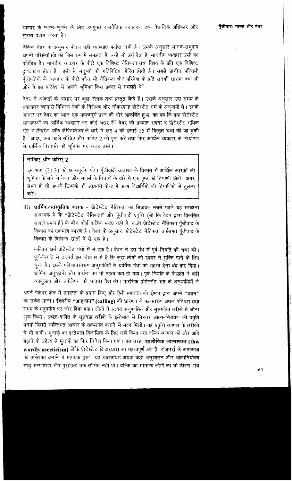व्यापार के फलने-फूलने के लिए उपयुक्त राजनैतिक वातावरण तथा वैधानिक अधिकार और सुरक्षा प्रदान करता है।

लेकिन वेबर के अनूसार केवल यही व्याख्याएं पर्याप्त नहीं है। उसके अनुसार मानव-समुदाय अपनी परिस्थितियों को जिस रूप में समझता है, उन्हें जो अर्थ देता है; मानवीय व्यवहार उसी का प्रतिबिंब है। मानवीय व्यवहार के पीछे एक विशिष्ट नैतिकता तथा विश्व के प्रति एक विशिष्ट दृष्टिकोण होता है। इसी से मनुष्यों की गतिविधियां प्रेरित होती हैं। सबसे प्राचीन पश्चिमी पूँजीपतियों के व्यवहार के पीछे कौन सी नैतिकता थी? परिवेश के प्रति उनकी धारणा क्या थी और वे इस परिवेश में अपनी भूमिका किस प्रकार से समझते थे?

वेबर ने आंकड़ों के आधार पर कूछ रोचक तथ्य प्रस्तुत किये हैं। उसके अनुसार उस समय के ज़्यादातर व्यापारी विभिन्न पेशों के विशेषज्ञ और नौकरशाह प्रोटेस्टेंट धर्म के अनुयायी थे। इसके आधार पर वेबर का ध्यान एक महत्वपूर्ण प्रश्न की ओर आकर्षित हुआ, वह यह कि क्या प्रोटेस्टेंट मान्यताओं का आर्थिक व्यवहार पर कोई असर है? वेबर की प्रख्यात रचना द प्रोटेस्टेंट एथिक एंड द स्पिरिट ऑफ़ कैंपिटलिज़्म के बारे में खंड 4 की इकाई 15 में विस्तृत चर्चा की जा चुकी है। आइए, अब पहले सोचिए और करिए 2 को पूरा करें तथा फिर आर्थिक व्यवहार के निर्धारण में धार्मिक विश्वासों की भूमिका पर नज़र डालें।

### सोचिए और करिए 2

इस भाग (21.3) को ध्यानपूर्वक पढ़ें। पूँजीवादी व्यवस्था के विकास में आर्थिक कारकों की भूमिका के बारे में वेबर और मार्क्स के विचारों के बारे में एक पृष्ठ की टिप्पणी लिखें। अगर संभव हो तो अपनी टिप्पणी की अध्ययन केन्द्र में अन्य विद्यार्थियों की टिप्पणियों से तुलना करें ।

iii) धार्मिक ∕सांस्कृतिक कारक - प्रोटेस्टेंट नैतिकता का सिद्धांत: सबसे पहले यह समझना आवश्यक है कि ''प्रोटेस्टेंट नैतिकता'' और पूँजीवादी प्रवृत्ति (जो कि वेबर द्वारा विकसित आदर्श प्ररूप है) के बीच कोई यांत्रिक संबंध नहीं है, नर्डी प्रोटेस्टेंट नैतिकता पूँजीवाद के विकास का एकमात्र कारण है। वेबर के अनुसार, प्रोटेस्टेंट नैतिकता तर्कसंगत पूँजीवाद के विकास के विभिन्न सोतों में से एक है।

कल्विन धर्म प्रोटेस्टेंट पंथों में से एक है। वेबर ने इस पंथ में पूर्व-नियति की चर्चा की। पूर्व-नियति से तात्पर्य इस विश्वास से है कि कुछ लोगों को ईश्वर ने मुक्ति पाने के लिए चुना है। इसके परिणामस्वरूप अनुयायियों ने घार्मिक ग्रंथों को महत्व देना बंद कर दिया। धार्मिक अनुष्ठानों और प्रार्थना का भी महत्व कम हो गया। पूर्व-नियति के सिद्धांत ने बड़ी व्याकुलता और अकेलेपन की भावना पैदा की। प्रारंभिक प्रोटेस्टेंट मत के अनुयायियों ने

अपने पेशेवर क्षेत्र में सफलता के प्रयास किए और ऐसी सफलता को ईश्वर द्वारा अपने "चयन" का संकेत माना। ईश्वरीय "आह्वान" (calling) की धारणाा के फलस्वरूप अथक परिश्रम तथा समय के सदुपयोग पर जोर दिया गया। लोगों ने अत्यंत अनुशासित और सुसंगठित तरीके से जीना शुरू किया। इच्छा-शक्ति के सुसंबद्ध तरीके के इस्तेमाल से निरंतर आत्म-नियंत्रण की प्रवृति पनपी जिससे व्यक्तिगत आचार के तर्कसंगत बनाने में मदद मिली। यह प्रवृत्ति व्यापार के तरीकों में भी आयी। मुनाफ़े का इस्तेमाल विलासिता के लिए नहीं किया गया बल्कि व्यापार को और आगे बढ़ाने के उद्देश्य से मुनाफे़ का फिर निवेश किया गया। इस तरह, इहलौकिक आत्मसंयम (this wordly asceticism) जोकि प्रोटेस्टेंट विचारधारा का महत्वपूर्ण अंग है, रोज़मर्रा के कामकाज को तर्कसंगत बनाने में सहायक हुआ। यह आत्मसंयम अथवा कड़ा अनुशासन और आत्मनियंत्रण साधु-सन्यासियों और पुरोहितों तक सीमित नहीं था। बल्कि यह सामान्य लोगों का भी जीवन-मंत्र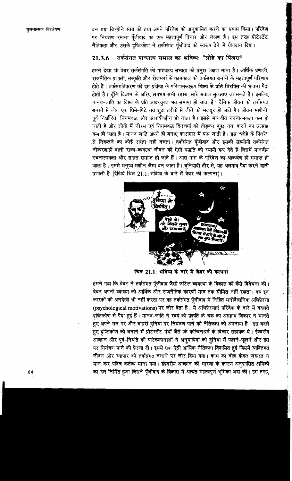बन गया जिन्होंने स्वयं को तथा अपने परिवेश को अनुशासित करने का प्रयास किया। परिवेश पर नियंत्रण रखना पूँजीवाद का एक महत्वपूर्ण विचार और लक्षण है। इस तरह प्रोटेस्टेंट नैतिकता और उसके दृष्टिकोण ने तर्कसंगत पूँजीवाद को स्वरूप देने में योगदान दिया।

### तर्कसंगत पाच्यात्य समाज का भविष्य: "लोहे का पिंजरा" 21.3.6

हमने देखा कि वेबर तर्कसंगति को पाश्चात्य सभ्यता को प्रमुख लक्षण माना है। आर्थिक प्रणाली, राजनैतिक प्रणाली, संस्कृति और रोज़मर्रा के कामकाज को तर्कसंगत बनाने के महत्वपूर्ण परिणाम होते हैं। तर्कसंगतिकरण की इस प्रक्रिया के परिणामस्वरूप विश्व के प्रति विरक्ति की भावना पैदा होती है। चूँकि विज्ञान के जरिए लगभग सभी रहस्य, सारे सवाल सुलझाए जा सकते है। इसलिए मानव-जाति का विश्व के प्रति आदरयुक्त भय समाप्त हो जाता है। दैनिक जीवन को तर्कसंगत बनाने से लोग एक घिसे-पिटे तय शूदा तरीके से जीने को मज़बूर हो जाते हैं। जीवन मशीनी, पूर्व निर्धारित, नियमबद्ध और आकर्षणहीन हो जाता है। इससे मानवीय रचनात्मकता कम हो जाती है और लोगों में नीरस एवं नियमबद्ध दिनचर्या को तोड़कर कुछ नया करने का उत्साह कम हो जाता है। मानव जाति अपने ही बनाए कारागार में फंस जाती है। इस "लोहे के पिंजरे" से निकलने का कोई रास्ता नहीं बचता। तर्कसंगत पूँजीवाद और इसकी सहयोगी तर्कसंगत नौकरशाही वाली राज्य-व्यवस्था जीवन की ऐसी पद्धति को स्थायी रूप देते हैं जिसमें मानवीय रचनात्मकता और साहस समाप्त हो जाते हैं। आस-पास के परिवेश का आकर्षण ही समाप्त हो जाता है। इससे मनुष्य मशीन जैसा बन जाता है। बुनियादी तौर से, यह अलगाव पैदा करने वाली प्रणाली है (देखिये चित्र 21.1: भविष्य के बारे में वेबर की कल्पना)।



चित्र 21.1: भविष्य के बारे में वेबर की कल्पना

हमने पढ़ा कि वेबर ने तर्कसंगत पूँजीवाद जैसी जटिल व्यवस्था के विकास की कैसे विवेचना की। वेबर अपनी व्याख्या को आर्थिक और राजनैतिक कारणों मात्र तक सीमित नहीं रखता। वह इन कारकों की अनदेखी भी नहीं करता पर वह तर्कसंगत पूँजीवाद में निहित मनोवैज्ञानिक अभिप्रेरणा (psychological motivations) पर ज़ोर देता है। ये अभिप्रेरणाएं परिवेश के बारे में बदलते दृष्टिकोण से पैदा हुई हैं। मानव-जाति ने स्वयं को प्रकृति के चक्र का असहाय शिकार न मानते हुए अपने मन पर और बाहरी दुनिया पर नियंत्रण पाने की नैतिकता को अपनाया है। इस बदले हुए दृष्टिकोण को बनाने में प्रोटेस्टेंट पंथों जैसे कि कल्विनधर्म के विचार सहायक थे। ईश्वरीय आव्हान और पूर्व-नियति की परिकल्पनाओं ने अनुयायियों को दुनिया में फलने-फूलने और इस पर नियंत्रण पाने की प्रेरणा दी। इससे एक ऐसी आर्थिक नैतिकता विकसित हुई जिसमें व्यक्तिगत जीवन और व्यापार को तर्कसंगत बनाने पर जोर दिया गया। काम का बोझ केवल ज़रूरत न मान कर पवित्र कर्तव्य माना गया। ईश्वरीय आव्हान की धारणा के कारण अनुशासित श्रमिकों का दल निर्मित हुआ जिसने पूँजीवाद के विकास में अत्यंत महत्वपूर्ण भूमिका अदा की। इस तरह,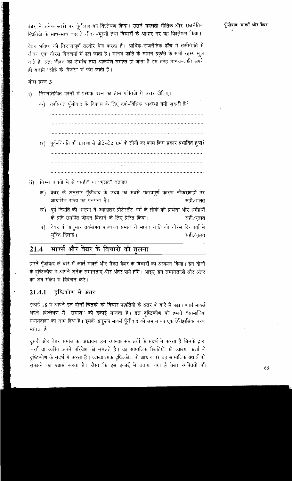वेबर भविष्य की निराशापूर्ण तस्वीर पेश करता है। आर्थिक-राजनैतिक ढाँचे में तर्कसंगति से जीवन एक नीरस दिनचर्या में ढल जाता है। मानव-जाति के सामने प्रकृति के सभी रहस्य खुल जाते हैं, अत: जीवन का रोमांच तथा आकर्षण समाप्त हो जाता है इस तरह मानव-जाति अपने ही बनाये "लोहे के पिंजरे" में फंस जाती है।

### बोध प्रश्न 3

- निम्नलिखित प्रश्नों में प्रत्येक प्रश्न का तीन पंक्तियों में उत्तर दीजिए।  $\mathbf{i}$ 
	- क) तर्कसंगत पूँजीवाद के विकास के लिए तर्क-विधिक व्यवस्था क्यों ज़रूरी है?

ख) पूर्व-नियति की धारणा से प्रोटेस्टेंट धर्म के लोगों का काम किस प्रकार प्रभावित हुआ?

- 
- निम्न वाक्यों में से "सही" या "ग़लत" बताइए।  $\mathbf{ii}$ 
	- क) वेबर के अनुसार पूँजीवाद के उदय का सबसे महत्वपूर्ण कारण नौकरशाही पर आधारित राज्य का पनपना है। सही⁄गलत
	- ख) पूर्व नियति की धारणा ने ज्यादातर प्रोटेस्टेंट धर्म के लोगों को प्रार्थना और धर्मग्रंथों के प्रति समर्पित जीवन बिताने के लिए प्रेरित किया। `सही∕गलत
	- वेबर के अनुसार तर्कसंगत पाश्चात्य समाज ने मानव जाति को नीरस दिनचर्या से ग)। मुक्ति दिलाई। सही/गलत

### मार्क्स और वेबर के विचारों की तुलना 21.4

हमने पूँजीवाद के बारे में कार्ल मार्क्स और मैक्स वेबर के विचारों का अध्ययन किया। इन दोनों के दृष्टिकोण में आपने अनेक समानताएं और अंतर पाये होंगे। आइए, इन समानताओं और अंतर का अब संक्षेप में विवेचन करें।

#### दृष्टिकोण में अंतर 21.4.1

इकाई 18 में आपने इन दोनों चिंतकों की विचार पद्धतियों के अंतर के बारे में पढ़ा। कार्ल मार्क्स अपने विश्लेषण में "समाज" को इकाई मानता है। इस दृष्टिकोण को हमने "सामाजिक यथार्थवाद" का नाम दिया है। इसके अनुरूप मार्क्स पूँजीवाद को समाज का एक ऐतिहासिक चरण मानता है।

दूसरी ओर वेबर समाज का अध्ययन उन व्याख्यात्मक अर्थों के संदर्भ में करता है जिनके द्वारा कर्त्ता या व्यक्ति अपने परिवेश को समझते हैं। वह सामाजिक स्थितियों की व्याख्या कर्त्ता के दृष्टिकोण के संदर्भ में करता है। व्याख्यात्मक दृष्टिकोण के आधार पर वह सामाजिक यथार्थ को समझने का प्रयास करता है। जैसा कि इस इकाई में बताया गया है वेबर व्यक्तियों की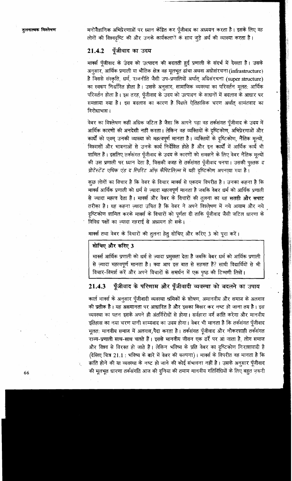मनोवैज्ञानिक अभिप्रेरणाओं पर ध्यान केंद्रित कर पूँजीवाद का अध्ययन करता है। इसके लिए वह लोगों की विश्वदृष्टि की और उनके कार्यकला ों के साथ जुड़े अर्थ की व्याख्या करता है।

### पूँजीवाद का उदय 21.4.2

मार्क्स पँजीवाद के उंदय को उत्पादन की बदलती हुई प्रणाली के संदर्भ में देखता है। उसके अनुसार, आर्थिक प्रणाली या भौतिक क्षेत्र वह मूलभूत ढांचा अथवा अधोसंरचना (infrastructure) .है जिससे संस्कृति, धर्म, राजनीति जैसी उप-प्रणालियों अर्थात् अधिसंरचना (super structure) का स्वरूप निर्धारित होता है। उसके अनुसार, सामाजिक व्यवस्था का परिवर्तन मूलत: आर्थिक परिवर्तन होता है। इस तरह, पूँजीवाद के उदय को उत्पादन के साधनों में बदलाव के आधार पर समझाया गया है। इस बदलाव का कारण है पिछले ऐतिहासिक चरण अर्थात् सामंतवाद का विरोधाभासन

वेबर का विश्लेषण कहीं अधिक जटिल है जैसा कि आपने पढ़ा वह तर्कसंगत पूँजीवाद के उदय में आर्थिक कारणों की अनदेखी नहीं करता। लेकिन वह व्यक्तियों के दृष्टिकोण, अभिप्रेरणाओं और कार्यों को एवम् उनकी व्याख्या को महत्वपूर्ण मानता है। व्यक्तियों के दृष्टिकोण, नैतिक मूल्यों, विश्वासों और भावनाओं से उनके कार्य निर्देशित होते हैं और इन कार्यों में आर्थिक कार्य भी शामिल हैं। इसलिए तर्कसंगत पुँजीवाद के उदय के कारणों को समझने के लिए वेबर नैतिक मुल्यों की उस प्रणाली पर ध्यान देता है, जिसकी वजह से तर्कसंगत पूँजीवाद पनपा। उसकी पुस्तक द प्रोटेस्टेंट एथिक एंड द स्पिरिट ऑफ़ कैपिटलिज़्म में यही दृष्टिकोण अपनाया गया है।

कुछ लोगों का विचार है कि वेबर के विचार मार्क्स से एकदम विपरीत है। उनका कहना है कि मार्क्स आर्थिक प्रणाली को धर्म से ज़्यादा महत्वपूर्ण मानता है जबकि वेबर धर्म को आर्थिक प्रणाली से ज्यादा महत्व देता है। मार्क्स और वेबर के विचारों की तूलना का यह सतही और सपाट तरीका है। यह कहना ज़्यादा उचित है कि वेबर ने अपने विश्लेषण में नये आयाम और नये दृष्टिकोण शामिल करके मार्क्स के विचारों को पूर्णता दी ताकि पूँजीवाद जैसी जटिल धारणा के विविध पक्षों का ज्यादा गहराई से अध्ययन हो सके।

मार्क्स तथा वेबर के विचारों की तुलना हेतु सोचिए और करिए 3 को पूरा करें।

### सोचिए और करिए 3

मार्क्स आर्थिक प्रणाली को धर्म से ज़्यादा प्रमुखता देता है जबकि वेबर धर्म को आर्थिक प्रणाली से ज़्यादा महत्वपूर्ण मानता है। क्या आप इस बात से सहमत हैं? साथी विद्यार्थियों से भी विचार-विमर्श करें और अपने विचारों के समर्थन में एक पृष्ठ की टिप्पणी लिखें।

### पूँजीवाद के परिणाम और पूँजीवादी व्यवस्था को बदलने का उपाय 21.4.3

कार्ल मार्क्स के अनुसार पूँजीवादी व्यवस्था श्रमिकों के शोषण, अमानवीय और समाज के अलगाव की प्रतीक है। यह असमानता पर आधारित है और इसका बिखर कर नष्ट हो जाना तय है। इस व्यवस्था का पतन इसके अपने ही अंतर्विरोधों से होगा। सर्वहारा वर्ग क्रांति करेगा और मानवीय इतिहास का नया चरण यानी साम्यवाद का उदय होगा। वेबर भी मानता है कि तर्कसंगत पूँजीवाद मुलत: मानवीय समाज में अलगाव, पैदा करता है। तर्कसंगत पूँजीवाद और नौकरशाही तर्कसंगत राज्य-प्रणाली साथ-साथ चलते हैं। इससे मानवीय जीवन एक ढर्रे पर आ जाता है, लोग समाज और विश्व से विरक्त हो जाते हैं। लेकिन भविष्य के प्रति वेबर का दृष्टिकोण निराशावादी है (देखिए चित्र 21.1 : भविष्य के बारे में वेबर की कल्पना)। मार्क्स के विपरीत वह मानता है कि क्रांति होने की या व्यवस्था के नष्ट हो जाने की कोई संभावना नहीं है। उसके अनुसार पूँजीवाद की मूलभूत धारणा तर्कसंगति आज की दुनिया की तमाम मानवीय गतिविधियों के लिए बहुत ज़रूरी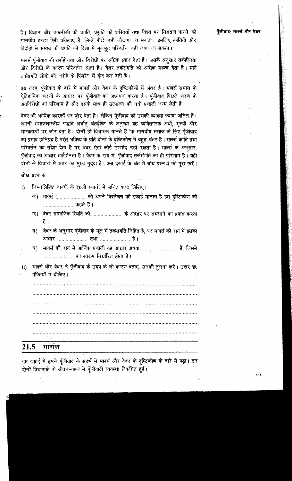है। विज्ञान और तकनीकी की प्रगति, प्रकृति की शक्तियाँ तथा विश्व पर नियंत्रण करने की मानवीय इच्छा ऐसी प्रक्रियाएं हैं, जिन्हें पीछे नहीं लौटाया जा सकता। इसलिए क्रांतियों और विद्रोहों से समाज की प्रगति की दिशा में मूलभूत परिवर्तन नहीं लाया जा सकता।

मार्क्स पूँजीवाद की तर्कहीनता और विरोधों पर अधिक ध्यान देता है। उसके अनुसार तर्कहीनता और विरोधों के कारण परिवर्तन आता है। वेबर तर्कसंगति को अधिक महत्व देता है। यही तर्कसंगति लोगों को "लोहे के पिंजरे" में कैद कर देती है।

इस तरह, पूँजीवाद के बारे में मार्क्स और वेबर के दृष्टिकोणों में अंतर है। मार्क्स समाज़ के ऐतिहासिक चरणों के आधार पर पूँजीवाद का अध्ययन करता है। पूँजीवाद पिछले चरण के अंतर्विरोधों का परिणाम है और इसके साथ ही उत्पादन की नयी प्रणाली जन्म लेती है।

वेबर भी आर्थिक कारकों पर जोर देता है। लेकिन पूँजीवाद की उसकी व्याख्या ज़्यादा जटिल है। अपनी समाजशास्त्रीय पद्धति अर्थात् अंतर्दृष्टि के अनुरूप वह व्यक्तिपरक अर्थो, मूल्यों और मान्यताओं पर जोर देता है। दोनों ही विचारक मानते हैं कि मानवीय समाज के लिए पुँजीवाद का प्रभाव हानिप्रद है परंतु भविष्य के प्रति दोनों के दृष्टिकोण में बहुत अंतर है। मार्क्स क्रांति तथा परिवर्तन का संदेश देता है पर वेबर ऐसी कोई उम्मीद नहीं रखता है। मार्क्स के अनुसार, पूँजीवाद का आधार तर्कहीनता है। वेबर के राय में, पूँजीवाद तर्कसंगति का ही परिणाम है। यही दोनों के विचारों में अंतर का मुख्य मुद्दा है। अब इकाई के अंत में बोध प्रश्न 4 को पूरा करें।

### बोध प्रश्न 4

- निम्नलिखित वाक्यों के ख़ाली स्थानों में उचित शब्द लिखिए।  $\mathbf{i}$ 
	- क) मार्क्स ......................... को अपने विश्लेषण की इकाई मानता है इस दृष्टिकोण को ...................... कहते *हैं* ।
	- ख) वेबर सामाजिक स्थिति को ............................ के आधार पर समझाने का प्रयास करता है ।
	- ग) वेबर के अनुसार पूँजीवाद के मूल में तर्कसंगति निहित है, पर मार्क्स की राय में इसका
	- मार्क्स की राय में आर्थिक प्रणाली वह आधार अथवा ............................ है. जिससे घ) ........................... का स्वरूप निर्धारित होता है।
- मार्क्स और वेबर ने पूँजीवाद के उदय के जो कारण बताए, उनकी तुलना करें। उत्तर छ: ii) पंक्तियों में दीजिए।

#### 21.5 सारांश

इस इकाई में हमने पूँजीवाद के संदर्भ में मार्क्स और वेबर के दृष्टिकोण के बारे मे पढ़ा। इन दोनों विचारकों के जीवन-काल में पूँजीवादी व्यवस्था विकसित हुई।

67

पुँजीवाद: मार्क्स और वेबर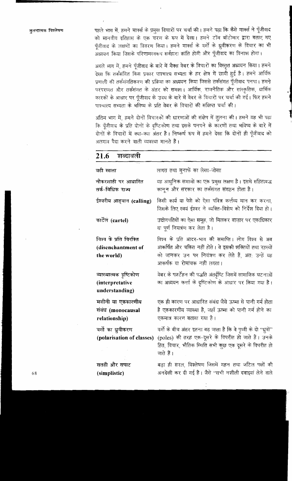पहले भाग में, हमने मार्क्स के प्रमुख विचारों पर चर्चा की। हमने पढ़ा कि कैसे मार्क्स ने पूँजीवाद को मानवीय इतिहास के एक चरण के रूप में देखा। हमने टॉम बॉटोमार द्वारा बताए गए पूँजीवाद के लक्षणों का विवरण किया। हमने मार्क्स के वर्गों के ध्रुवीकरण के विचार का भी अध्ययन किया जिसके परिणामस्वरूप सर्वहारा क्रांति होगी और पूँजीवाद का विनाश होगा।

आले भाग में, हमने पूँजीवाद के बारे में मैक्स वेबर के विचारों का विस्तृत अध्ययन किया। हमने देखा कि तर्कसंगित किस प्रकार पाश्चात्य सभ्यता के हर क्षेत्र में छायी हुई है। हमने आर्थिक प्रणाली की तर्कसंगतिकरण की प्रक्रिया का अध्ययन किया जिससे तर्कसंगत पूँजीवाद पनपा। हमने परंपरागत और तर्कसंगत के अंतर को समझा। आर्थिक, राजनैतिक और सांस्कृतिक, धार्मिक कारकों के आधार पर पूँजीवाद के उदय के बारे में वेबर के विचारों पर चर्चा की गई। फिर हमने पाश्चात्य सभ्यता के भविष्य के प्रति वेबर के विचारों की संक्षिप्त चर्चा की।

अंतिम भाग में, हमने दोनों विचारकों की धारणाओं की संक्षेप में तुलना की। हमने यह भी पढ़ा कि पूँजीवाद के प्रति दोनों के दृष्टिकोण तथा इसके पनपने के कारणों तथा भविष्य के बारे में दोनों के विचारों में क्या-क्या अंतर है। निष्कर्ष रूप में हमने देखा कि दोनों ही पूँजीवाद को अलगाव पैदा करने वाली व्यवस्था मानते हैं।

### शब्दावली 21.6

| बही खाता                                                    | लागत तथा मुनाफें का लेखा-जोखा                                                                                                                                                                       |
|-------------------------------------------------------------|-----------------------------------------------------------------------------------------------------------------------------------------------------------------------------------------------------|
| नौकरशाही पर आधारित<br>तर्क-विधिक राज्य                      | यह आधुनिक समाजों का एक प्रमुख लक्षण है। इसमें संहिताबद्ध<br>कानून और सरकार का तर्कसंगत संगठन होता है।                                                                                               |
| ईश्वरीय आह्वान (calling)                                    | किसी कार्य या पेशे को ऐसा पवित्र कर्त्तव्य मान कर करना,<br>जिसके लिए स्वयं ईश्वर ने व्यक्ति-विशेष को निर्देश दिया हो।                                                                               |
| कार्टेल (cartel)                                            | उद्योगपतियों का ऐसा समूह, जो मिलकर बाज़ार पर एकाधिकार<br>या पूर्ण नियत्रंण कर लेता है ।                                                                                                             |
| विश्व के प्रति विरक्ति<br>(disenchantment of<br>the world)  | विश्व के प्रति आदर-भाव की समाप्ति। लोग विश्व से अब<br>आकर्षित और चकित नहीं होते। वे इसकी शक्तियों तथा रहस्यों<br>को जानकर उन पर नियंत्रण कर लेते हैं, अत: उन्हें यह<br>आकर्षक या रोमांचक नहीं लगता। |
| व्याख्यात्मक दृष्टिकोण<br>(interpretative<br>understanding) | वेबर के फर्स्टेहन की पद्धति अंतर्दृष्टि जिसमें सामाजिक घटनाओं<br>का अध्ययन कर्त्ता के दृष्टिकोण के आधार पर किया गया है।                                                                             |
| मशीनी या एककारणीय<br>संबंध (monocausal<br>relationship)     | एक ही कारण पर आधारित संबंध जैसे ऊष्मा से पानी गर्म होता<br>है एककारणीय व्याख्या है, जहाँ ऊष्मा को पानी गर्म होने का<br>एकमात्र कारण बताया गया है।                                                   |
| वर्गो का ध्रुवीकरण<br>(polarisation of classes)             | वर्गो के बीच अंतर इतना बढ़ जाता है कि वे पृथ्वी के दो ''ध्रुवों''<br>(poles) की तरह एक-दूसरे के विपरीत हो जाते हैं। उनके<br>हित, विचार, भौतिक स्थिति सभी कुछ एक दूसरे के विपरीत हो<br>जाते हैं ।    |
| सतही और सपाट<br>(simplistic)                                | बड़ा ही सरल, विश्लेषण जिसमें गहन तथा जटिल पक्षों की<br>अनदेखी कर दी गई है। जैसे ''सभी नशीली दवाइयां लेने वाले                                                                                       |

68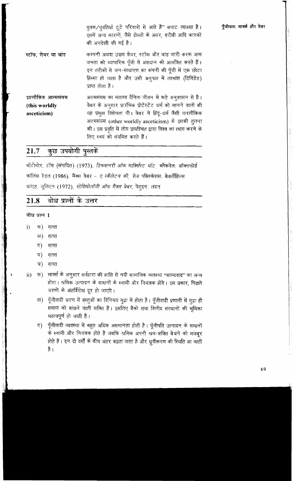|                                                  | युवक/युवतियाँ टूटे परिवारों से आते हैं" सपाट व्याख्या है।<br>इसमें अन्य कारणों, जैसे दोस्तों के असर, गरीबी आदि कारकों<br>की अनदेखी की गई है।                                                                                                                                                                                           | पूँजीवाद: मार्क्स और वेबर |
|--------------------------------------------------|----------------------------------------------------------------------------------------------------------------------------------------------------------------------------------------------------------------------------------------------------------------------------------------------------------------------------------------|---------------------------|
| स्टॉक, शेयर या बांड                              | कम्पनी अथवा उद्यम शेयर, स्टॉक और बांड जारी करक आम<br>जनता को व्यापारिक पूँजी में अंशदान को आमंत्रित करते हैं।<br>इन तरीकों से जन-साधारण का कंपनी की पूँजी में एक छोटा<br>हिस्सा हो जाता है और उसी अनुपात में लाभांश (डिविडेंड)<br>प्राप्त होता है।                                                                                     |                           |
| इहलौकिक आत्मसंयम<br>(this worldly<br>asceticism) | आत्मसंयम का मतलब दैनिक जीवन में कड़े अनुशासन से है।<br>वेबर के अनुसार प्रारंभिक प्रोटेस्टेंट धर्म को मानने वालों की<br>यह प्रमुख विशेषता थी। वेबर ने हिंदू-धर्म जैसी पारलौकिक<br>आत्मसंयम (other worldly asceticism) से इसकी तुलना<br>की। इस प्रवृति में लोग प्रायश्चित द्वारा विश्व का त्याग करने के<br>लिए स्वयं को संयमित करते हैं। |                           |

### कुछ उपयोगी पुस्तकें 21.7

बॉटोमोर, टॉम (संपादित) (1973). *डिकशनरी ऑफ माक्सिस्ट थॉट*, ब्लैकवेल: ऑक्सफोर्ड कॉलिंस रेंडल (1986). मैक्स वेबर - *ए स्कैलेटन की* सेज पब्लिकेशंस: बेवर्लीहिल्स फाएड, जूलिएन (1972), सोशियोलॉजी ऑफ मैक्स वेबर, पेंगूइन: लंदन

|              | 21.8 बोध प्रश्नों के उत्तर |  |  |
|--------------|----------------------------|--|--|
| बोध प्रश्न 1 |                            |  |  |
|              | <b>i) क) ग़लत</b>          |  |  |
| ख)           | गलत                        |  |  |

- ग) गलत
- घ) गलत
- च) गलत
- क) मार्क्स के अनुसार सर्वहारा की क्रांति से नयी सामाजिक व्यवस्था ''साम्यवाद'' का जन्म  $\mathbf{ii}$ होगा। श्रमिक उत्पादन के साधनों के स्वामी और नियंत्रक होंगे। इस प्रकार, पिछले चरणों के अंतर्विरोध दूर हो जाएंगे।
	- ख) पूँजीवादी चरण में वस्तुओं का विनिमय मुद्रा में होता है। पूँजीवादी प्रणाली में मुद्रा ही समाज को बांधने वाली शक्ति है। इसलिए बैंको तथा वित्तीय संस्थानों की भूमिका महत्वपूर्ण हो जाती है।
	- ग) पूँजीवादी व्यवस्था में बहुत अधिक असमानता होती है। पूँजीपति उत्पादन के साधनों के स्वामी और नियंत्रक होते हैं जबकि श्रमिक अपनी श्रम-शक्ति बेचने को मजबूर होते हैं। इन दो वर्गों के बीच अंतर बढ़ता जाता है और ध्रूवीकरण की स्थिति आ जाती है ।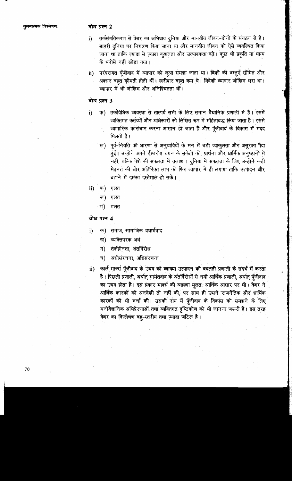### बोध प्रश्न 2

- तर्कसंगतिकरण से वेबर का अभिप्राय दुनिया और मानवीय जीवन-दोनों के संगठन से है। i) बाहरी दुनिया पर नियंत्रण किया जाना था और मानवीय जीवन को ऐसे व्यवस्थित किया जाना था ताकि ज़्यादा से ज़्यादा कुशलता और उत्पादकता बढ़े। कुछ भी प्रकृति या भाग्य के भरोसें नहीं छोड़ा गया।
- परंपरागत पूँजीवाद में व्यापार को जूआ समझा जाता था। बिक्री की वस्तूएँ सीमित और  $\mathbf{ii}$ अक्सर बहुत कीमती होती थीं। खरीदार बहुत कम थे। विदेशी व्यापार जोखिम भरा था। व्यापार में भी जोखिम और अनिश्चितता थीं।

### बोध प्रश्न 3

- क) तर्कविधिक व्यवस्था से तात्पर्य सभी के लिए समान वैधानिक प्रणाली से है। इसमें i) व्यक्तिगत कर्तव्यों और अधिकारों को लिखित रूप में संहिताबद्ध किया जाता है। इससे व्यापारिक कारोबार करना आसान हो जाता है और पूँजीवाद के विकास में मदद मिलती है।
	- ख) पूर्व-नियति की धारणा से अनुयायियों के मन में बड़ी व्याकुलता और असुरक्षा पैदा हुई। उन्होंने अपने ईश्वरीय चयन के संकेतों को, प्रार्थना और धार्मिक अनुष्ठानों में नहीं, बल्कि पेशे की सफलता में तलाशा। दुनिया में सफलता के लिए उन्होंने कड़ी मेहनत की ओर अतिरिक्त लाभ को फिर व्यापार में ही लगाया ताकि उत्पादन और बढाने में इसका इस्तेमाल हो सके।
- क) ग़लत ii)
	- ख) गलत
	- -ন) गलत

### बोध प्रश्न 4

- क) समाज, सामाजिक यथार्थवाद i)
	- ख) व्यक्तिपरक अर्थ
	- ग) तर्कहीनता, अंतर्विरोध
	- घ) अधोसंरचना अधिसंरचना
- कार्ल मार्क्स पूँजीवाद के उदय की व्याख्या उत्पादन की बदलती प्रणाली के संदर्भ में करता ii) है। पिछली प्रणाली, अर्थात् सामंतवाद के अंतर्विरोधों से नयी आर्थिक प्रणाली, अर्थात् पूँजीवाद का उदय होता है। इस प्रकार मार्क्स की व्याख्या मूलत: आर्थिक आधार पर थी। वेबर ने आर्थिक कारकों की अनदेखी तो नहीं की, पर साथ ही उसने राजनैतिक और धार्मिक कारकों की भी चर्चा की। उसकी राय में पूँजीवाद के विकास को समझने के लिए मनोवैज्ञानिक अभिप्रेरणाओं तथा व्यक्तिगत दृष्टिकोण को भी जानना जरूरी है। इस तरह वेबर का विश्लेषण बहु-स्तरीय तथा ज़्यादा जटिल है।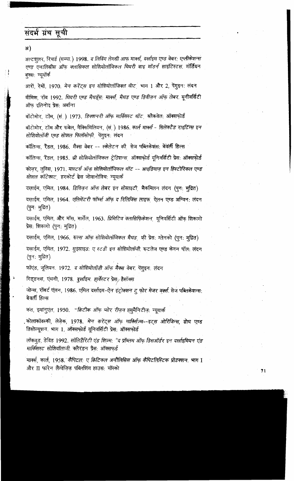# संदर्भ ग्रंथ सूची

अ)

अल्टशलर, रिचर्ड (सम्पा.) 1998. द लिविंग लेगसी आफ मार्क्स, दर्खाइम एण्ड वेबर: एप्लीकेशन्स एण्ड एनालिसीस ऑफ क्लासिकल सोशियोलॉजिकल थियरी बाइ मॉडर्न साइंटिस्टस. गॉर्डियन बक्स: न्यूयॉर्क आरों, रेमों, 1970, *मेन करेंट्स इन सोशियोलॉजिक्ल थॅाट* भाग 1 और 2, पेंगुइन: लंदन बीमिश, रॉब 1992. थियरी एण्ड मैथड्रॅस: मार्क्स, मैथड एण्ड डिवीज़न ऑफ़ लेबर. यूनीवर्सिटी ऑफ इलिनोइ प्रेस: अर्बाना बॉटोमोर, टॉम, (सं.) 1973. *डिक्शनरी ऑफ़ मार्क्सिस्ट थॉट*, ब्लैकवेल: ऑक्सफ़ोर्ड बॉटोमोर, टॉम और रूबेल, मैक्सिमिलियन, (सं. ) 1986. *कार्ल मार्क्स - सिलेक्टैड राइटिंग्स इन* सोशियोलॉजी एण्ड सोशल फिलॉसोफी पेंगुइन: लंदन कॉलिन्स, रैंडल, 1986. मैक्स वेबर -- स्केलेटन की सेज पब्लिकेशंस: बेवर्ली हिल्स कॉलिन्स, रैंडल, 1985. थ्री सोशियोलॉजिकल ट्रेडिशन्स, ऑक्सफोर्ड यूनिवर्सिटी प्रेस: ऑक्सफोर्ड कोजर, लुविस, 1971, मास्टर्स ऑफ सोशियोलॉजिकल थॉट -- आइडियाज इन हिस्टोरिकल एण्ड सोशल कॉटेक्स्ट, हरकोर्ट ब्रेस जोवानोविच: न्युयार्क दख़ाईम, एमिल, 1984. डिविजन ऑफ़ लेबर इन सोसाइटी, मैकमिलन लंदन (पुन: मुद्रित) दखाईम, एमिल, 1964. एलिमेंटरी फॉर्म्स ऑफ द रिलिजिंस लाइफ़ ऐलन एण्ड अन्विन: लंदन (पुन: मुद्रित) दख़ाईम, एमिल, और मॉस, मार्सेल, 1963*. प्रिमिटिव क्लासिफिकेशन*, यूनिवर्सिटी ऑफ शिकागो प्रेस: शिकागो (पून: मूद्रित) दख़ाईम, एमिल, 1966. रूल्स ऑफ़ सोशियोलॉजिकल मैथड, फ़ी प्रेस: ग्लेनको (पुन: मुद्रित) दख़ाईम, एमिल, 1972. *सुइसाइड: ए स्टडी इन सोशियोलॉजी*, रूटलेज एण्ड केगन पॉल: लंदन (पुन: मुद्रित).

फ़ॉएंड, जूलियन, 1972. *द सोशियोलॉजी ऑफ़ मैक्स वेबर*. पेंगुइन: लंदन

गिड्डनस, एंथनी, 1978. *दुर्ख़ाइम. हार्वेस्ट* र प्रेस*्र* हैसॉक्स

जोन्स, रॉबर्ट एंलन, 1986. एमिल दर्खाइम-ऐन इंट्रोक्शन ट्रू फोर मेजर वर्क्स सेज पब्लिकेशन्स: बेवर्ली हिल्स

कत, इमानुएल, 1950. "क्रिटीक ऑफ़ प्योर रीज़न ह्यूमैनिटीज़: न्यूयार्क

. कोलाकॉवस्की, लेजेक, 197<mark>8.</mark> *मेन करेंट्स ऑफ माक्सिज्म--इट्स ओरिजिन्स,* ग्रोथ एण्ड डिसोल्यूशन भाग 1, ऑक्सफोर्ड यूनिवर्सिटी प्रेस: ऑक्सफोर्ड

लॉकवुड, डेविड 1992. सॉलिडैरिटी एंड गिज़्म: "द प्रॉब्लम ऑफ डिसऑर्डर इन दर्खाइमियन एंड मार्किसस्ट सोशियॉलाजी क्लैरंडन प्रैस: ऑक्सफर्ड

ंमार्क्स, कार्ल, 1958.¨कैपिटल: ए क्रिटिकल अनौलिसिस ऑफ़ कैपिटलिस्टिक प्रोडक्शन. भाग I और II फारेन लैंग्वेजिज पब्लिशिंग हाउस: मॉस्को